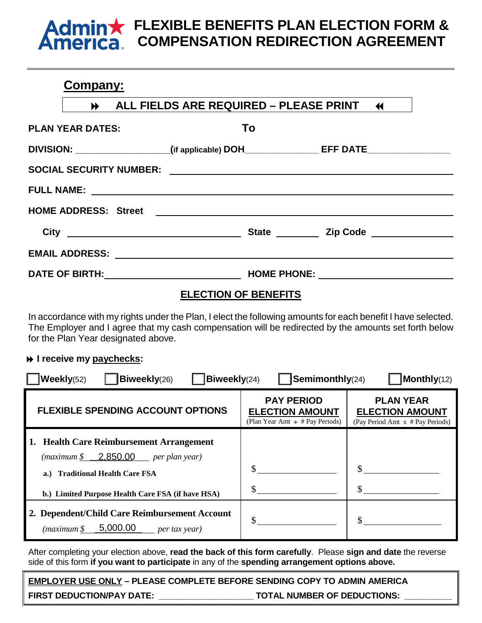# **Admin FLEXIBLE BENEFITS PLAN ELECTION FORM & COMPENSATION REDIRECTION AGREEMENT**

# **Company:**

|                                                                                                                                                                                                                                      | ALL FIELDS ARE REQUIRED - PLEASE PRINT 44                                         |                                       |
|--------------------------------------------------------------------------------------------------------------------------------------------------------------------------------------------------------------------------------------|-----------------------------------------------------------------------------------|---------------------------------------|
| <b>PLAN YEAR DATES:</b>                                                                                                                                                                                                              | To                                                                                |                                       |
|                                                                                                                                                                                                                                      | DIVISION: __________________(if applicable) DOH_______________EFF DATE___________ |                                       |
|                                                                                                                                                                                                                                      |                                                                                   |                                       |
|                                                                                                                                                                                                                                      |                                                                                   |                                       |
|                                                                                                                                                                                                                                      |                                                                                   |                                       |
| City <u>and the contract of the contract of the contract of the contract of the contract of the contract of the contract of the contract of the contract of the contract of the contract of the contract of the contract of the </u> |                                                                                   | State <u>Constantine and Zip Code</u> |
|                                                                                                                                                                                                                                      |                                                                                   |                                       |
|                                                                                                                                                                                                                                      |                                                                                   |                                       |

## **ELECTION OF BENEFITS**

In accordance with my rights under the Plan, I elect the following amounts for each benefit I have selected. The Employer and I agree that my cash compensation will be redirected by the amounts set forth below for the Plan Year designated above.

## **I** receive my paychecks:

| <b>Weekly(52)</b><br><b>Biweekly(24)</b><br>$\mathsf{I}$ Semimonthly(24)<br>Monthly(12)<br>Biweekly(26)                                                                                 |                                                                                     |                                                                                |  |  |
|-----------------------------------------------------------------------------------------------------------------------------------------------------------------------------------------|-------------------------------------------------------------------------------------|--------------------------------------------------------------------------------|--|--|
| <b>FLEXIBLE SPENDING ACCOUNT OPTIONS</b>                                                                                                                                                | <b>PAY PERIOD</b><br><b>ELECTION AMOUNT</b><br>(Plan Year Amt $\div$ # Pay Periods) | <b>PLAN YEAR</b><br><b>ELECTION AMOUNT</b><br>(Pay Period Amt x # Pay Periods) |  |  |
| 1. Health Care Reimbursement Arrangement<br>$(maximum $ \quad 2.850.00$ per plan year)<br><b>Traditional Health Care FSA</b><br>a.<br>b.) Limited Purpose Health Care FSA (if have HSA) |                                                                                     |                                                                                |  |  |
| 2. Dependent/Child Care Reimbursement Account<br>5,000.00<br>(maximum \$<br>per tax year)                                                                                               |                                                                                     |                                                                                |  |  |

After completing your election above, **read the back of this form carefully**. Please **sign and date** the reverse side of this form **if you want to participate** in any of the **spending arrangement options above.**

**EMPLOYER USE ONLY – PLEASE COMPLETE BEFORE SENDING COPY TO ADMIN AMERICA FIRST DEDUCTION/PAY DATE: \_\_\_\_\_\_\_\_\_\_\_\_\_\_\_\_\_\_\_\_ TOTAL NUMBER OF DEDUCTIONS: \_\_\_\_\_\_\_\_\_\_**